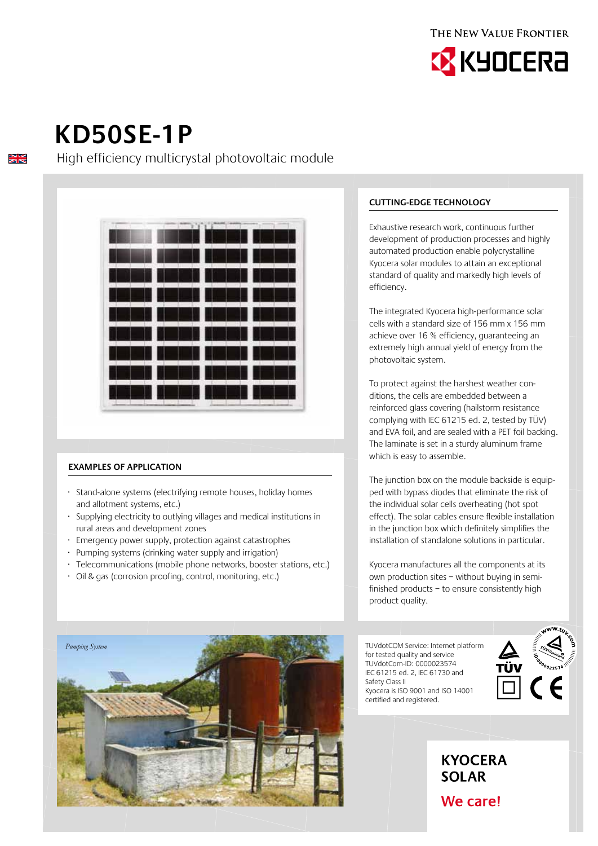

# **Kd50se-1p**

 $\frac{\sum x}{\sum x}$ 

High efficiency multicrystal photovoltaic module



## **Examples of application**

- · Stand-alone systems (electrifying remote houses, holiday homes and allotment systems, etc.)
- · Supplying electricity to outlying villages and medical institutions in rural areas and development zones
- Emergency power supply, protection against catastrophes
- Pumping systems (drinking water supply and irrigation)
- Telecommunications (mobile phone networks, booster stations, etc.)
- · Oil & gas (corrosion proofing, control, monitoring, etc.)



### **Cutting-edge technology**

Exhaustive research work, continuous further development of production processes and highly automated production enable polycrystalline Kyocera solar modules to attain an exceptional standard of quality and markedly high levels of efficiency.

The integrated Kyocera high-performance solar cells with a standard size of 156 mm x 156 mm achieve over 16 % efficiency, guaranteeing an extremely high annual yield of energy from the photovoltaic system.

To protect against the harshest weather conditions, the cells are embedded between a reinforced glass covering (hailstorm resistance complying with IEC 61215 ed. 2, tested by TÜV) and EVA foil, and are sealed with a PET foil backing. The laminate is set in a sturdy aluminum frame which is easy to assemble.

The junction box on the module backside is equipped with bypass diodes that eliminate the risk of the individual solar cells overheating (hot spot effect). The solar cables ensure flexible installation in the junction box which definitely simplifies the installation of standalone solutions in particular.

Kyocera manufactures all the components at its own production sites – without buying in semifinished products – to ensure consistently high product quality.

TUVdotCOM Service: Internet platform for tested quality and service TUVdotCom-ID: 0000023574 IEC 61215 ed. 2, IEC 61730 and Safety Class II Kyocera is ISO 9001 and ISO 14001 certified and registered.



# **KYOCERA SOLAR**

We care!